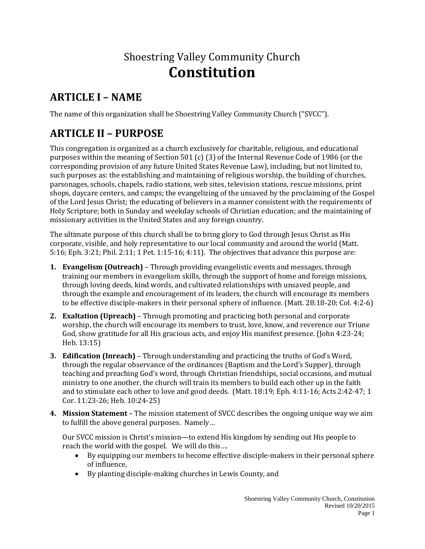# Shoestring Valley Community Church **Constitution**

# **ARTICLE I – NAME**

The name of this organization shall be Shoestring Valley Community Church ("SVCC").

# **ARTICLE II – PURPOSE**

This congregation is organized as a church exclusively for charitable, religious, and educational purposes within the meaning of Section 501 (c) (3) of the Internal Revenue Code of 1986 (or the corresponding provision of any future United States Revenue Law), including, but not limited to, such purposes as: the establishing and maintaining of religious worship, the building of churches, parsonages, schools, chapels, radio stations, web sites, television stations, rescue missions, print shops, daycare centers, and camps; the evangelizing of the unsaved by the proclaiming of the Gospel of the Lord Jesus Christ; the educating of believers in a manner consistent with the requirements of Holy Scripture; both in Sunday and weekday schools of Christian education; and the maintaining of missionary activities in the United States and any foreign country.

The ultimate purpose of this church shall be to bring glory to God through Jesus Christ as His corporate, visible, and holy representative to our local community and around the world (Matt. 5:16; Eph. 3:21; Phil. 2:11; 1 Pet. 1:15-16; 4:11). The objectives that advance this purpose are:

- **1. Evangelism (Outreach)** Through providing evangelistic events and messages, through training our members in evangelism skills, through the support of home and foreign missions, through loving deeds, kind words, and cultivated relationships with unsaved people, and through the example and encouragement of its leaders, the church will encourage its members to be effective disciple-makers in their personal sphere of influence. (Matt. 28:18-20; Col. 4:2-6)
- **2. Exaltation (Upreach)**  Through promoting and practicing both personal and corporate worship, the church will encourage its members to trust, love, know, and reverence our Triune God, show gratitude for all His gracious acts, and enjoy His manifest presence. (John 4:23-24; Heb. 13:15)
- **3. Edification (Inreach)** Through understanding and practicing the truths of God's Word, through the regular observance of the ordinances (Baptism and the Lord's Supper), through teaching and preaching God's word, through Christian friendships, social occasions, and mutual ministry to one another, the church will train its members to build each other up in the faith and to stimulate each other to love and good deeds. (Matt. 18:19; Eph. 4:11-16; Acts 2:42-47; 1 Cor. 11:23-26; Heb. 10:24-25)
- **4. Mission Statement**  The mission statement of SVCC describes the ongoing unique way we aim to fulfill the above general purposes. Namely…

Our SVCC mission is Christ's mission—to extend His kingdom by sending out His people to reach the world with the gospel. We will do this….

- By equipping our members to become effective disciple-makers in their personal sphere of influence,
- By planting disciple-making churches in Lewis County, and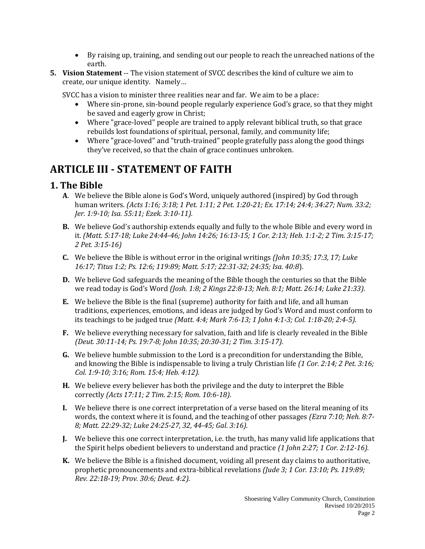- By raising up, training, and sending out our people to reach the unreached nations of the earth.
- **5. Vision Statement** -- The vision statement of SVCC describes the kind of culture we aim to create, our unique identity. Namely…

SVCC has a vision to minister three realities near and far. We aim to be a place:

- Where sin-prone, sin-bound people regularly experience God's grace, so that they might be saved and eagerly grow in Christ;
- Where "grace-loved" people are trained to apply relevant biblical truth, so that grace rebuilds lost foundations of spiritual, personal, family, and community life;
- Where "grace-loved" and "truth-trained" people gratefully pass along the good things they've received, so that the chain of grace continues unbroken.

# **ARTICLE III - STATEMENT OF FAITH**

### **1. The Bible**

- **A**. We believe the Bible alone is God's Word, uniquely authored (inspired) by God through human writers*. (Acts 1:16; 3:18; 1 Pet. 1:11; 2 Pet. 1:20-21; Ex. 17:14; 24:4; 34:27; Num. 33:2; Jer. 1:9-10; Isa. 55:11; Ezek. 3:10-11).*
- **B.** We believe God's authorship extends equally and fully to the whole Bible and every word in it. *(Matt. 5:17-18; Luke 24:44-46; John 14:26; 16:13-15; 1 Cor. 2:13; Heb. 1:1-2; 2 Tim. 3:15-17; 2 Pet. 3:15-16)*
- **C.** We believe the Bible is without error in the original writings *(John 10:35; 17:3, 17; Luke 16:17; Titus 1:2; Ps. 12:6; 119:89; Matt. 5:17; 22:31-32; 24:35; Isa. 40:8*).
- **D.** We believe God safeguards the meaning of the Bible though the centuries so that the Bible we read today is God's Word *(Josh. 1:8; 2 Kings 22:8-13; Neh. 8:1; Matt. 26:14; Luke 21:33).*
- **E.** We believe the Bible is the final (supreme) authority for faith and life, and all human traditions, experiences, emotions, and ideas are judged by God's Word and must conform to its teachings to be judged true *(Matt. 4:4; Mark 7:6-13; 1 John 4:1-3; Col. 1:18-20; 2:4-5).*
- **F.** We believe everything necessary for salvation, faith and life is clearly revealed in the Bible *(Deut. 30:11-14; Ps. 19:7-8; John 10:35; 20:30-31; 2 Tim. 3:15-17).*
- **G.** We believe humble submission to the Lord is a precondition for understanding the Bible, and knowing the Bible is indispensable to living a truly Christian life *(1 Cor. 2:14; 2 Pet. 3:16; Col. 1:9-10; 3:16; Rom. 15:4; Heb. 4:12).*
- **H.** We believe every believer has both the privilege and the duty to interpret the Bible correctly *(Acts 17:11; 2 Tim. 2:15; Rom. 10:6-18)*.
- **I.** We believe there is one correct interpretation of a verse based on the literal meaning of its words, the context where it is found, and the teaching of other passages *(Ezra 7:10; Neh. 8:7- 8; Matt. 22:29-32; Luke 24:25-27, 32, 44-45; Gal. 3:16).*
- **J.** We believe this one correct interpretation, i.e. the truth, has many valid life applications that the Spirit helps obedient believers to understand and practice *(1 John 2:27; 1 Cor. 2:12-16).*
- **K.** We believe the Bible is a finished document, voiding all present day claims to authoritative, prophetic pronouncements and extra-biblical revelations *(Jude 3; 1 Cor. 13:10; Ps. 119:89; Rev. 22:18-19; Prov. 30:6; Deut. 4:2).*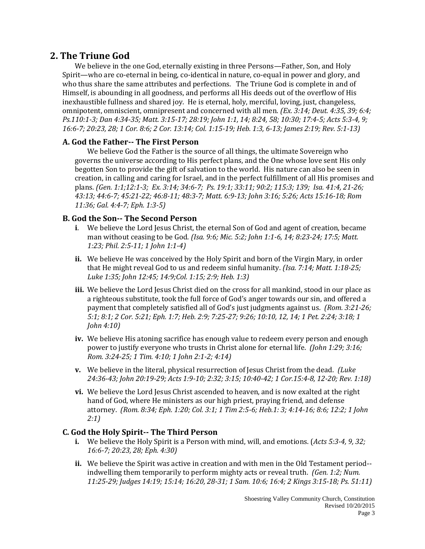### **2. The Triune God**

We believe in the one God, eternally existing in three Persons—Father, Son, and Holy Spirit—who are co-eternal in being, co-identical in nature, co-equal in power and glory, and who thus share the same attributes and perfections. The Triune God is complete in and of Himself, is abounding in all goodness, and performs all His deeds out of the overflow of His inexhaustible fullness and shared joy. He is eternal, holy, merciful, loving, just, changeless, omnipotent, omniscient, omnipresent and concerned with all men. *(Ex. 3:14; Deut. 4:35, 39; 6:4; Ps.110:1-3; Dan 4:34-35; Matt. 3:15-17; 28:19; John 1:1, 14; 8:24, 58; 10:30; 17:4-5; Acts 5:3-4, 9; 16:6-7; 20:23, 28; 1 Cor. 8:6; 2 Cor. 13:14; Col. 1:15-19; Heb. 1:3, 6-13; James 2:19; Rev. 5:1-13)*

#### **A. God the Father-- The First Person**

We believe God the Father is the source of all things, the ultimate Sovereign who governs the universe according to His perfect plans, and the One whose love sent His only begotten Son to provide the gift of salvation to the world. His nature can also be seen in creation, in calling and caring for Israel, and in the perfect fulfillment of all His promises and plans. *(Gen. 1:1;12:1-3; Ex. 3:14; 34:6-7; Ps. 19:1; 33:11; 90:2; 115:3; 139; Isa. 41:4, 21-26; 43:13; 44:6-7; 45:21-22; 46:8-11; 48:3-7; Matt. 6:9-13; John 3:16; 5:26; Acts 15:16-18; Rom 11:36; Gal. 4:4-7; Eph. 1:3-5)*

#### **B. God the Son-- The Second Person**

- **i**. We believe the Lord Jesus Christ, the eternal Son of God and agent of creation, became man without ceasing to be God. *(Isa. 9:6; Mic. 5:2; John 1:1-6, 14; 8:23-24; 17:5; Matt. 1:23; Phil. 2:5-11; 1 John 1:1-4)*
- **ii.** We believe He was conceived by the Holy Spirit and born of the Virgin Mary, in order that He might reveal God to us and redeem sinful humanity. *(Isa. 7:14; Matt. 1:18-25; Luke 1:35; John 12:45; 14:9;Col. 1:15; 2:9; Heb. 1:3)*
- **iii.** We believe the Lord Jesus Christ died on the cross for all mankind, stood in our place as a righteous substitute, took the full force of God's anger towards our sin, and offered a payment that completely satisfied all of God's just judgments against us. *(Rom. 3:21-26; 5:1; 8:1; 2 Cor. 5:21; Eph. 1:7; Heb. 2:9; 7:25-27; 9:26; 10:10, 12, 14; 1 Pet. 2:24; 3:18; 1 John 4:10)*
- **iv.** We believe His atoning sacrifice has enough value to redeem every person and enough power to justify everyone who trusts in Christ alone for eternal life. *(John 1:29; 3:16; Rom. 3:24-25; 1 Tim. 4:10; 1 John 2:1-2; 4:14)*
- **v.** We believe in the literal, physical resurrection of Jesus Christ from the dead. *(Luke 24:36-43; John 20:19-29; Acts 1:9-10; 2:32; 3:15; 10:40-42; 1 Cor.15:4-8, 12-20; Rev. 1:18)*
- **vi.** We believe the Lord Jesus Christ ascended to heaven, and is now exalted at the right hand of God, where He ministers as our high priest, praying friend, and defense attorney. *(Rom. 8:34; Eph. 1:20; Col. 3:1; 1 Tim 2:5-6; Heb.1: 3; 4:14-16; 8:6; 12:2; 1 John 2:1)*

#### **C. God the Holy Spirit-- The Third Person**

- **i.** We believe the Holy Spirit is a Person with mind, will, and emotions. (*Acts 5:3-4, 9, 32; 16:6-7; 20:23, 28; Eph. 4:30)*
- **ii.** We believe the Spirit was active in creation and with men in the Old Testament period- indwelling them temporarily to perform mighty acts or reveal truth. *(Gen. 1:2; Num. 11:25-29; Judges 14:19; 15:14; 16:20, 28-31; 1 Sam. 10:6; 16:4; 2 Kings 3:15-18; Ps. 51:11)*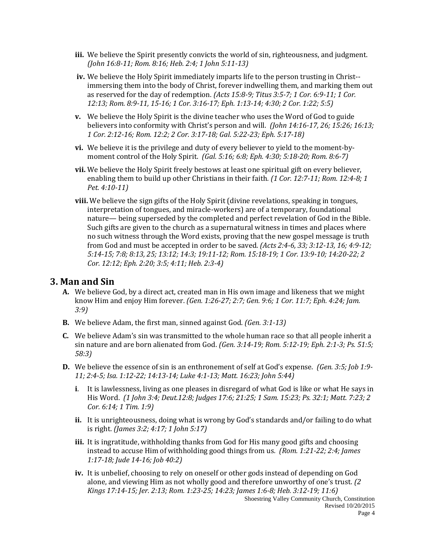- **iii.** We believe the Spirit presently convicts the world of sin, righteousness, and judgment. *(John 16:8-11; Rom. 8:16; Heb. 2:4; 1 John 5:11-13)*
- **iv.** We believe the Holy Spirit immediately imparts life to the person trusting in Christ- immersing them into the body of Christ, forever indwelling them, and marking them out as reserved for the day of redemption. *(Acts 15:8-9; Titus 3:5-7; 1 Cor. 6:9-11; 1 Cor. 12:13; Rom. 8:9-11, 15-16; 1 Cor. 3:16-17; Eph. 1:13-14; 4:30; 2 Cor. 1:22; 5:5)*
- **v.** We believe the Holy Spirit is the divine teacher who uses the Word of God to guide believers into conformity with Christ's person and will. *(John 14:16-17, 26; 15:26; 16:13; 1 Cor. 2:12-16; Rom. 12:2; 2 Cor. 3:17-18; Gal. 5:22-23; Eph. 5:17-18)*
- **vi.** We believe it is the privilege and duty of every believer to yield to the moment-bymoment control of the Holy Spirit. *(Gal. 5:16; 6:8; Eph. 4:30; 5:18-20; Rom. 8:6-7)*
- **vii.** We believe the Holy Spirit freely bestows at least one spiritual gift on every believer, enabling them to build up other Christians in their faith*. (1 Cor. 12:7-11; Rom. 12:4-8; 1 Pet. 4:10-11)*
- **viii.** We believe the sign gifts of the Holy Spirit (divine revelations, speaking in tongues, interpretation of tongues, and miracle-workers) are of a temporary, foundational nature— being superseded by the completed and perfect revelation of God in the Bible. Such gifts are given to the church as a supernatural witness in times and places where no such witness through the Word exists, proving that the new gospel message is truth from God and must be accepted in order to be saved. *(Acts 2:4-6, 33; 3:12-13, 16; 4:9-12; 5:14-15; 7:8; 8:13, 25; 13:12; 14:3; 19:11-12; Rom. 15:18-19; 1 Cor. 13:9-10; 14:20-22; 2 Cor. 12:12; Eph. 2:20; 3:5; 4:11; Heb. 2:3-4)*

### **3. Man and Sin**

- **A.** We believe God, by a direct act, created man in His own image and likeness that we might know Him and enjoy Him forever. *(Gen. 1:26-27; 2:7; Gen. 9:6; 1 Cor. 11:7; Eph. 4:24; Jam. 3:9)*
- **B.** We believe Adam, the first man, sinned against God. *(Gen. 3:1-13)*
- **C.** We believe Adam's sin was transmitted to the whole human race so that all people inherit a sin nature and are born alienated from God. *(Gen. 3:14-19; Rom. 5:12-19; Eph. 2:1-3; Ps. 51:5; 58:3)*
- **D.** We believe the essence of sin is an enthronement of self at God's expense. *(Gen. 3:5; Job 1:9- 11; 2:4-5; Isa. 1:12-22; 14:13-14; Luke 4:1-13; Matt. 16:23; John 5:44)* 
	- **i**. It is lawlessness, living as one pleases in disregard of what God is like or what He says in His Word. *(1 John 3:4; Deut.12:8; Judges 17:6; 21:25; 1 Sam. 15:23; Ps. 32:1; Matt. 7:23; 2 Cor. 6:14; 1 Tim. 1:9)*
	- **ii.** It is unrighteousness, doing what is wrong by God's standards and/or failing to do what is right. *(James 3:2; 4:17; 1 John 5:17)*
	- **iii.** It is ingratitude, withholding thanks from God for His many good gifts and choosing instead to accuse Him of withholding good things from us*. (Rom. 1:21-22; 2:4; James 1:17-18; Jude 14-16; Job 40:2)*
	- **iv.** It is unbelief, choosing to rely on oneself or other gods instead of depending on God alone, and viewing Him as not wholly good and therefore unworthy of one's trust. *(2 Kings 17:14-15; Jer. 2:13; Rom. 1:23-25; 14:23; James 1:6-8; Heb. 3:12-19; 11:6)*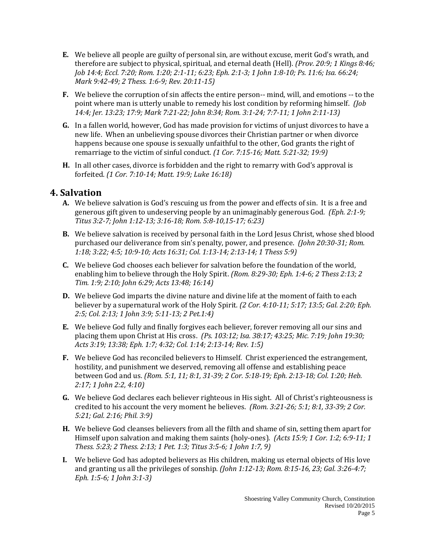- **E.** We believe all people are guilty of personal sin, are without excuse, merit God's wrath, and therefore are subject to physical, spiritual, and eternal death (Hell). *(Prov. 20:9; 1 Kings 8:46; Job 14:4; Eccl. 7:20; Rom. 1:20; 2:1-11; 6:23; Eph. 2:1-3; 1 John 1:8-10; Ps. 11:6; Isa. 66:24; Mark 9:42-49; 2 Thess. 1:6-9; Rev. 20:11-15)*
- **F.** We believe the corruption of sin affects the entire person-- mind, will, and emotions -- to the point where man is utterly unable to remedy his lost condition by reforming himself. *(Job 14:4; Jer. 13:23; 17:9; Mark 7:21-22; John 8:34; Rom. 3:1-24; 7:7-11; 1 John 2:11-13)*
- **G.** In a fallen world, however, God has made provision for victims of unjust divorces to have a new life. When an unbelieving spouse divorces their Christian partner or when divorce happens because one spouse is sexually unfaithful to the other, God grants the right of remarriage to the victim of sinful conduct. *(1 Cor. 7:15-16; Matt. 5:21-32; 19:9)*
- **H.** In all other cases, divorce is forbidden and the right to remarry with God's approval is forfeited. *(1 Cor. 7:10-14; Matt. 19:9; Luke 16:18)*

### **4. Salvation**

- **A.** We believe salvation is God's rescuing us from the power and effects of sin. It is a free and generous gift given to undeserving people by an unimaginably generous God*. (Eph. 2:1-9; Titus 3:2-7; John 1:12-13; 3:16-18; Rom. 5:8-10,15-17; 6:23)*
- **B.** We believe salvation is received by personal faith in the Lord Jesus Christ, whose shed blood purchased our deliverance from sin's penalty, power, and presence. *(John 20:30-31; Rom. 1:18; 3:22; 4:5; 10:9-10; Acts 16:31; Col. 1:13-14; 2:13-14; 1 Thess 5:9)*
- **C.** We believe God chooses each believer for salvation before the foundation of the world, enabling him to believe through the Holy Spirit. *(Rom. 8:29-30; Eph. 1:4-6; 2 Thess 2:13; 2 Tim. 1:9; 2:10; John 6:29; Acts 13:48; 16:14)*
- **D.** We believe God imparts the divine nature and divine life at the moment of faith to each believer by a supernatural work of the Holy Spirit*. (2 Cor. 4:10-11; 5:17; 13:5; Gal. 2:20; Eph. 2:5; Col. 2:13; 1 John 3:9; 5:11-13; 2 Pet.1:4)*
- **E.** We believe God fully and finally forgives each believer, forever removing all our sins and placing them upon Christ at His cross. *(Ps. 103:12; Isa. 38:17; 43:25; Mic. 7:19; John 19:30; Acts 3:19; 13:38; Eph. 1:7; 4:32; Col. 1:14; 2:13-14; Rev. 1:5)*
- **F.** We believe God has reconciled believers to Himself. Christ experienced the estrangement, hostility, and punishment we deserved, removing all offense and establishing peace between God and us. *(Rom. 5:1, 11; 8:1, 31-39; 2 Cor. 5:18-19; Eph. 2:13-18; Col. 1:20; Heb. 2:17; 1 John 2:2, 4:10)*
- **G.** We believe God declares each believer righteous in His sight. All of Christ's righteousness is credited to his account the very moment he believes. *(Rom. 3:21-26; 5:1; 8:1, 33-39; 2 Cor. 5:21; Gal. 2:16; Phil. 3:9)*
- **H.** We believe God cleanses believers from all the filth and shame of sin, setting them apart for Himself upon salvation and making them saints (holy-ones)*. (Acts 15:9; 1 Cor. 1:2; 6:9-11; 1 Thess. 5:23; 2 Thess. 2:13; 1 Pet. 1:3; Titus 3:5-6; 1 John 1:7, 9)*
- **I.** We believe God has adopted believers as His children, making us eternal objects of His love and granting us all the privileges of sonship. *(John 1:12-13; Rom. 8:15-16, 23; Gal. 3:26-4:7; Eph. 1:5-6; 1 John 3:1-3)*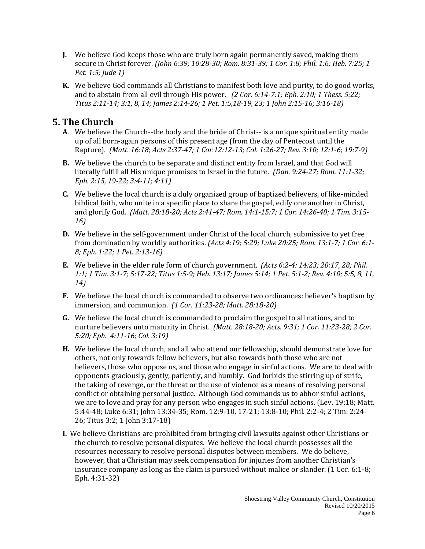- **J.** We believe God keeps those who are truly born again permanently saved, making them secure in Christ forever. *(John 6:39; 10:28-30; Rom. 8:31-39; 1 Cor. 1:8; Phil. 1:6; Heb. 7:25; 1 Pet. 1:5; Jude 1)*
- **K.** We believe God commands all Christians to manifest both love and purity, to do good works, and to abstain from all evil through His power. *(2 Cor. 6:14-7:1; Eph. 2:10; 1 Thess. 5:22; Titus 2:11-14; 3:1, 8, 14; James 2:14-26; 1 Pet. 1:5,18-19, 23; 1 John 2:15-16; 3:16-18)*

### **5. The Church**

- **A**. We believe the Church--the body and the bride of Christ-- is a unique spiritual entity made up of all born-again persons of this present age (from the day of Pentecost until the Rapture). *(Matt. 16:18; Acts 2:37-47; 1 Cor.12:12-13; Col. 1:26-27; Rev. 3:10; 12:1-6; 19:7-9)*
- **B.** We believe the church to be separate and distinct entity from Israel, and that God will literally fulfill all His unique promises to Israel in the future. *(Dan. 9:24-27; Rom. 11:1-32; Eph. 2:15, 19-22; 3:4-11; 4:11)*
- **C.** We believe the local church is a duly organized group of baptized believers, of like-minded biblical faith, who unite in a specific place to share the gospel, edify one another in Christ, and glorify God. *(Matt. 28:18-20; Acts 2:41-47; Rom. 14:1-15:7; 1 Cor. 14:26-40; 1 Tim. 3:15- 16)*
- **D.** We believe in the self-government under Christ of the local church, submissive to yet free from domination by worldly authorities. *(Acts 4:19; 5:29; Luke 20:25; Rom. 13:1-7; 1 Cor. 6:1- 8; Eph. 1:22; 1 Pet. 2:13-16)*
- **E.** We believe in the elder rule form of church government. *(Acts 6:2-4; 14:23; 20:17, 28; Phil. 1:1; 1 Tim. 3:1-7; 5:17-22; Titus 1:5-9; Heb. 13:17; James 5:14; 1 Pet. 5:1-2; Rev. 4:10; 5:5, 8, 11, 14)*
- **F.** We believe the local church is commanded to observe two ordinances: believer's baptism by immersion, and communion. *(1 Cor. 11:23-28; Matt. 28:18-20)*
- **G.** We believe the local church is commanded to proclaim the gospel to all nations, and to nurture believers unto maturity in Christ. *(Matt. 28:18-20; Acts. 9:31; 1 Cor. 11:23-28; 2 Cor. 5:20; Eph. 4:11-16; Col. 3:19)*
- **H.** We believe the local church, and all who attend our fellowship, should demonstrate love for others, not only towards fellow believers, but also towards both those who are not believers, those who oppose us, and those who engage in sinful actions. We are to deal with opponents graciously, gently, patiently, and humbly. God forbids the stirring up of strife, the taking of revenge, or the threat or the use of violence as a means of resolving personal conflict or obtaining personal justice. Although God commands us to abhor sinful actions, we are to love and pray for any person who engages in such sinful actions. (Lev. 19:18; Matt. 5:44-48; Luke 6:31; John 13:34-35; Rom. 12:9-10, 17-21; 13:8-10; Phil. 2:2-4; 2 Tim. 2:24- 26; Titus 3:2; 1 John 3:17-18)
- **I.** We believe Christians are prohibited from bringing civil lawsuits against other Christians or the church to resolve personal disputes. We believe the local church possesses all the resources necessary to resolve personal disputes between members. We do believe, however, that a Christian may seek compensation for injuries from another Christian's insurance company as long as the claim is pursued without malice or slander. (1 Cor. 6:1-8; Eph. 4:31-32)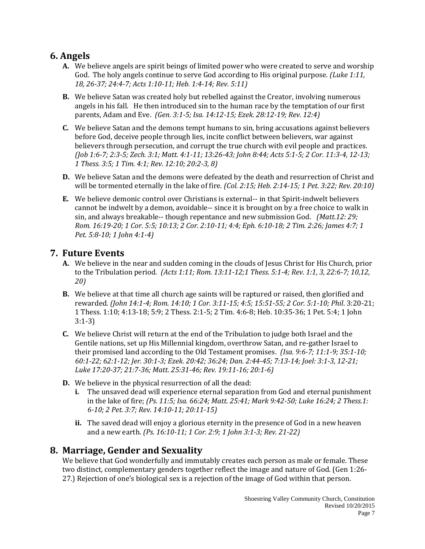### **6. Angels**

- **A.** We believe angels are spirit beings of limited power who were created to serve and worship God. The holy angels continue to serve God according to His original purpose. *(Luke 1:11, 18, 26-37; 24:4-7; Acts 1:10-11; Heb. 1:4-14; Rev. 5:11)*
- **B.** We believe Satan was created holy but rebelled against the Creator, involving numerous angels in his fall. He then introduced sin to the human race by the temptation of our first parents, Adam and Eve. *(Gen. 3:1-5; Isa. 14:12-15; Ezek. 28:12-19; Rev. 12:4)*
- **C.** We believe Satan and the demons tempt humans to sin, bring accusations against believers before God, deceive people through lies, incite conflict between believers, war against believers through persecution, and corrupt the true church with evil people and practices. *(Job 1:6-7; 2:3-5; Zech. 3:1; Matt. 4:1-11; 13:26-43; John 8:44; Acts 5:1-5; 2 Cor. 11:3-4, 12-13; 1 Thess. 3:5; 1 Tim. 4:1; Rev. 12:10; 20:2-3, 8)*
- **D.** We believe Satan and the demons were defeated by the death and resurrection of Christ and will be tormented eternally in the lake of fire. *(Col. 2:15; Heb. 2:14-15; 1 Pet. 3:22; Rev. 20:10)*
- **E.** We believe demonic control over Christians is external-- in that Spirit-indwelt believers cannot be indwelt by a demon, avoidable-- since it is brought on by a free choice to walk in sin, and always breakable-- though repentance and new submission God. *(Matt.12: 29; Rom. 16:19-20; 1 Cor. 5:5; 10:13; 2 Cor. 2:10-11; 4:4; Eph. 6:10-18; 2 Tim. 2:26; James 4:7; 1 Pet. 5:8-10; 1 John 4:1-4)*

### **7. Future Events**

- **A.** We believe in the near and sudden coming in the clouds of Jesus Christ for His Church, prior to the Tribulation period. *(Acts 1:11; Rom. 13:11-12;1 Thess. 5:1-4; Rev. 1:1, 3, 22:6-7; 10,12, 20)*
- **B.** We believe at that time all church age saints will be raptured or raised, then glorified and rewarded*. (John 14:1-4; Rom. 14:10; 1 Cor. 3:11-15; 4:5; 15:51-55; 2 Cor. 5:1-10; Phil*. 3:20-21; 1 Thess. 1:10; 4:13-18; 5:9; 2 Thess. 2:1-5; 2 Tim. 4:6-8; Heb. 10:35-36; 1 Pet. 5:4; 1 John 3:1-3)
- **C.** We believe Christ will return at the end of the Tribulation to judge both Israel and the Gentile nations, set up His Millennial kingdom, overthrow Satan, and re-gather Israel to their promised land according to the Old Testament promises. *(Isa. 9:6-7; 11:1-9; 35:1-10; 60:1-22; 62:1-12; Jer. 30:1-3; Ezek. 20:42; 36:24; Dan. 2:44-45; 7:13-14; Joel: 3:1-3, 12-21; Luke 17:20-37; 21:7-36; Matt. 25:31-46; Rev. 19:11-16; 20:1-6)*
- **D.** We believe in the physical resurrection of all the dead:
	- **i.** The unsaved dead will experience eternal separation from God and eternal punishment in the lake of fire; *(Ps. 11:5; Isa. 66:24; Matt. 25:41; Mark 9:42-50; Luke 16:24; 2 Thess.1: 6-10; 2 Pet. 3:7; Rev. 14:10-11; 20:11-15)*
	- **ii.** The saved dead will enjoy a glorious eternity in the presence of God in a new heaven and a new earth. *(Ps. 16:10-11; 1 Cor. 2:9; 1 John 3:1-3; Rev. 21-22)*

### **8. Marriage, Gender and Sexuality**

We believe that God wonderfully and immutably creates each person as male or female. These two distinct, complementary genders together reflect the image and nature of God. (Gen 1:26- 27.) Rejection of one's biological sex is a rejection of the image of God within that person.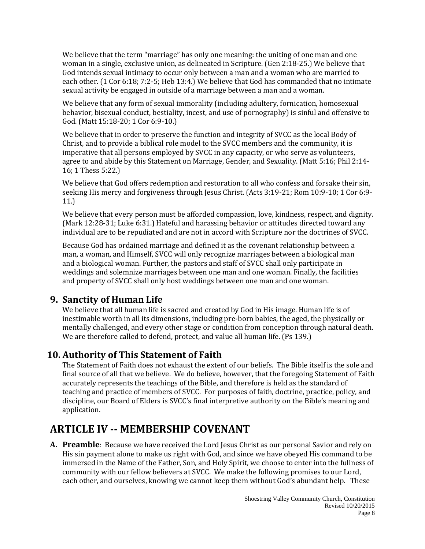We believe that the term "marriage" has only one meaning: the uniting of one man and one woman in a single, exclusive union, as delineated in Scripture. (Gen 2:18-25.) We believe that God intends sexual intimacy to occur only between a man and a woman who are married to each other. (1 Cor 6:18; 7:2-5; Heb 13:4.) We believe that God has commanded that no intimate sexual activity be engaged in outside of a marriage between a man and a woman.

We believe that any form of sexual immorality (including adultery, fornication, homosexual behavior, bisexual conduct, bestiality, incest, and use of pornography) is sinful and offensive to God. (Matt 15:18-20; 1 Cor 6:9-10.)

We believe that in order to preserve the function and integrity of SVCC as the local Body of Christ, and to provide a biblical role model to the SVCC members and the community, it is imperative that all persons employed by SVCC in any capacity, or who serve as volunteers, agree to and abide by this Statement on Marriage, Gender, and Sexuality. (Matt 5:16; Phil 2:14- 16; 1 Thess 5:22.)

We believe that God offers redemption and restoration to all who confess and forsake their sin, seeking His mercy and forgiveness through Jesus Christ. (Acts 3:19-21; Rom 10:9-10; 1 Cor 6:9- 11.)

We believe that every person must be afforded compassion, love, kindness, respect, and dignity. (Mark 12:28-31; Luke 6:31.) Hateful and harassing behavior or attitudes directed toward any individual are to be repudiated and are not in accord with Scripture nor the doctrines of SVCC.

Because God has ordained marriage and defined it as the covenant relationship between a man, a woman, and Himself, SVCC will only recognize marriages between a biological man and a biological woman. Further, the pastors and staff of SVCC shall only participate in weddings and solemnize marriages between one man and one woman. Finally, the facilities and property of SVCC shall only host weddings between one man and one woman.

### **9. Sanctity of Human Life**

We believe that all human life is sacred and created by God in His image. Human life is of inestimable worth in all its dimensions, including pre-born babies, the aged, the physically or mentally challenged, and every other stage or condition from conception through natural death. We are therefore called to defend, protect, and value all human life. (Ps 139.)

### **10. Authority of This Statement of Faith**

The Statement of Faith does not exhaust the extent of our beliefs. The Bible itself is the sole and final source of all that we believe. We do believe, however, that the foregoing Statement of Faith accurately represents the teachings of the Bible, and therefore is held as the standard of teaching and practice of members of SVCC. For purposes of faith, doctrine, practice, policy, and discipline, our Board of Elders is SVCC's final interpretive authority on the Bible's meaning and application.

## **ARTICLE IV -- MEMBERSHIP COVENANT**

**A. Preamble**: Because we have received the Lord Jesus Christ as our personal Savior and rely on His sin payment alone to make us right with God, and since we have obeyed His command to be immersed in the Name of the Father, Son, and Holy Spirit, we choose to enter into the fullness of community with our fellow believers at SVCC. We make the following promises to our Lord, each other, and ourselves, knowing we cannot keep them without God's abundant help. These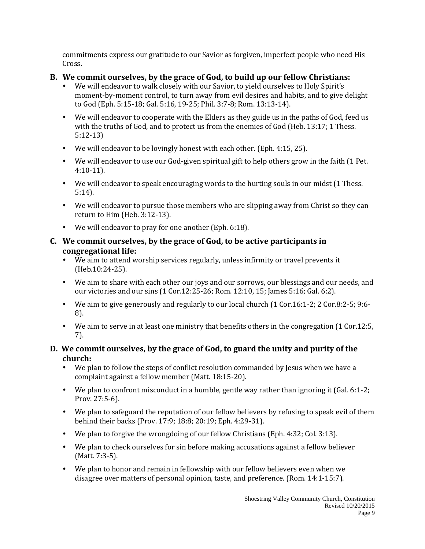commitments express our gratitude to our Savior as forgiven, imperfect people who need His Cross.

### **B. We commit ourselves, by the grace of God, to build up our fellow Christians:**

- We will endeavor to walk closely with our Savior, to yield ourselves to Holy Spirit's moment-by-moment control, to turn away from evil desires and habits, and to give delight to God (Eph. 5:15-18; Gal. 5:16, 19-25; Phil. 3:7-8; Rom. 13:13-14).
- We will endeavor to cooperate with the Elders as they guide us in the paths of God, feed us with the truths of God, and to protect us from the enemies of God (Heb. 13:17; 1 Thess. 5:12-13)
- We will endeavor to be lovingly honest with each other. (Eph. 4:15, 25).
- We will endeavor to use our God-given spiritual gift to help others grow in the faith (1 Pet. 4:10-11).
- We will endeavor to speak encouraging words to the hurting souls in our midst (1 Thess. 5:14).
- We will endeavor to pursue those members who are slipping away from Christ so they can return to Him (Heb. 3:12-13).
- We will endeavor to pray for one another (Eph. 6:18).

#### **C. We commit ourselves, by the grace of God, to be active participants in congregational life:**

- We aim to attend worship services regularly, unless infirmity or travel prevents it (Heb.10:24-25).
- We aim to share with each other our joys and our sorrows, our blessings and our needs, and our victories and our sins (1 Cor.12:25-26; Rom. 12:10, 15; James 5:16; Gal. 6:2).
- We aim to give generously and regularly to our local church (1 Cor.16:1-2; 2 Cor.8:2-5; 9:6- 8).
- We aim to serve in at least one ministry that benefits others in the congregation (1 Cor.12:5, 7).

### **D. We commit ourselves, by the grace of God, to guard the unity and purity of the church:**

- We plan to follow the steps of conflict resolution commanded by Jesus when we have a complaint against a fellow member (Matt. 18:15-20).
- We plan to confront misconduct in a humble, gentle way rather than ignoring it (Gal. 6:1-2; Prov. 27:5-6).
- We plan to safeguard the reputation of our fellow believers by refusing to speak evil of them behind their backs (Prov. 17:9; 18:8; 20:19; Eph. 4:29-31).
- We plan to forgive the wrongdoing of our fellow Christians (Eph. 4:32; Col. 3:13).
- We plan to check ourselves for sin before making accusations against a fellow believer (Matt. 7:3-5).
- We plan to honor and remain in fellowship with our fellow believers even when we disagree over matters of personal opinion, taste, and preference. (Rom. 14:1-15:7).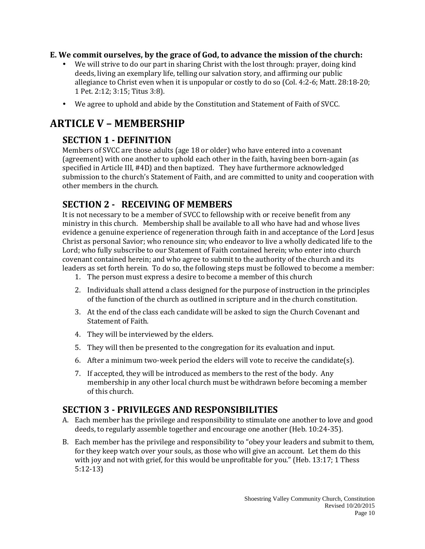#### **E. We commit ourselves, by the grace of God, to advance the mission of the church:**

- We will strive to do our part in sharing Christ with the lost through: prayer, doing kind deeds, living an exemplary life, telling our salvation story, and affirming our public allegiance to Christ even when it is unpopular or costly to do so (Col. 4:2-6; Matt. 28:18-20; 1 Pet. 2:12; 3:15; Titus 3:8).
- We agree to uphold and abide by the Constitution and Statement of Faith of SVCC.

# **ARTICLE V – MEMBERSHIP**

## **SECTION 1 - DEFINITION**

Members of SVCC are those adults (age 18 or older) who have entered into a covenant (agreement) with one another to uphold each other in the faith, having been born-again (as specified in Article III, #4D) and then baptized. They have furthermore acknowledged submission to the church's Statement of Faith, and are committed to unity and cooperation with other members in the church.

## **SECTION 2 - RECEIVING OF MEMBERS**

It is not necessary to be a member of SVCC to fellowship with or receive benefit from any ministry in this church. Membership shall be available to all who have had and whose lives evidence a genuine experience of regeneration through faith in and acceptance of the Lord Jesus Christ as personal Savior; who renounce sin; who endeavor to live a wholly dedicated life to the Lord; who fully subscribe to our Statement of Faith contained herein; who enter into church covenant contained herein; and who agree to submit to the authority of the church and its leaders as set forth herein. To do so, the following steps must be followed to become a member:

- 1. The person must express a desire to become a member of this church
- 2. Individuals shall attend a class designed for the purpose of instruction in the principles of the function of the church as outlined in scripture and in the church constitution.
- 3. At the end of the class each candidate will be asked to sign the Church Covenant and Statement of Faith.
- 4. They will be interviewed by the elders.
- 5. They will then be presented to the congregation for its evaluation and input.
- 6. After a minimum two-week period the elders will vote to receive the candidate(s).
- 7. If accepted, they will be introduced as members to the rest of the body. Any membership in any other local church must be withdrawn before becoming a member of this church.

### **SECTION 3 - PRIVILEGES AND RESPONSIBILITIES**

- A. Each member has the privilege and responsibility to stimulate one another to love and good deeds, to regularly assemble together and encourage one another (Heb. 10:24-35).
- B. Each member has the privilege and responsibility to "obey your leaders and submit to them, for they keep watch over your souls, as those who will give an account. Let them do this with joy and not with grief, for this would be unprofitable for you." (Heb. 13:17; 1 Thess 5:12-13)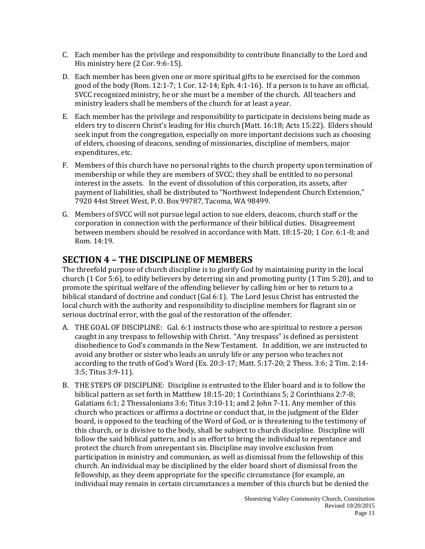- C. Each member has the privilege and responsibility to contribute financially to the Lord and His ministry here (2 Cor. 9:6-15).
- D. Each member has been given one or more spiritual gifts to be exercised for the common good of the body (Rom. 12:1-7; 1 Cor. 12-14; Eph. 4:1-16). If a person is to have an official, SVCC recognized ministry, he or she must be a member of the church. All teachers and ministry leaders shall be members of the church for at least a year.
- E. Each member has the privilege and responsibility to participate in decisions being made as elders try to discern Christ's leading for His church (Matt. 16:18; Acts 15:22). Elders should seek input from the congregation, especially on more important decisions such as choosing of elders, choosing of deacons, sending of missionaries, discipline of members, major expenditures, etc.
- F. Members of this church have no personal rights to the church property upon termination of membership or while they are members of SVCC; they shall be entitled to no personal interest in the assets. In the event of dissolution of this corporation, its assets, after payment of liabilities, shall be distributed to "Northwest Independent Church Extension," 7920 44st Street West, P. O. Box 99787, Tacoma, WA 98499.
- G. Members of SVCC will not pursue legal action to sue elders, deacons, church staff or the corporation in connection with the performance of their biblical duties. Disagreement between members should be resolved in accordance with Matt. 18:15-20; 1 Cor. 6:1-8; and Rom. 14:19.

### **SECTION 4 – THE DISCIPLINE OF MEMBERS**

The threefold purpose of church discipline is to glorify God by maintaining purity in the local church (1 Cor 5:6), to edify believers by deterring sin and promoting purity (1 Tim 5:20), and to promote the spiritual welfare of the offending believer by calling him or her to return to a biblical standard of doctrine and conduct (Gal 6:1). The Lord Jesus Christ has entrusted the local church with the authority and responsibility to discipline members for flagrant sin or serious doctrinal error, with the goal of the restoration of the offender.

- A. THE GOAL OF DISCIPLINE: Gal. 6:1 instructs those who are spiritual to restore a person caught in any trespass to fellowship with Christ. "Any trespass" is defined as persistent disobedience to God's commands in the New Testament. In addition, we are instructed to avoid any brother or sister who leads an unruly life or any person who teaches not according to the truth of God's Word (Ex. 20:3-17; Matt. 5:17-20; 2 Thess. 3:6; 2 Tim. 2:14- 3:5; Titus 3:9-11).
- B. THE STEPS OF DISCIPLINE: Discipline is entrusted to the Elder board and is to follow the biblical pattern as set forth in Matthew 18:15-20; 1 Corinthians 5; 2 Corinthians 2:7-8; Galatians 6:1; 2 Thessalonians 3:6; Titus 3:10-11; and 2 John 7-11. Any member of this church who practices or affirms a doctrine or conduct that, in the judgment of the Elder board, is opposed to the teaching of the Word of God, or is threatening to the testimony of this church, or is divisive to the body, shall be subject to church discipline. Discipline will follow the said biblical pattern, and is an effort to bring the individual to repentance and protect the church from unrepentant sin. Discipline may involve exclusion from participation in ministry and communion, as well as dismissal from the fellowship of this church. An individual may be disciplined by the elder board short of dismissal from the fellowship, as they deem appropriate for the specific circumstance (for example, an individual may remain in certain circumstances a member of this church but be denied the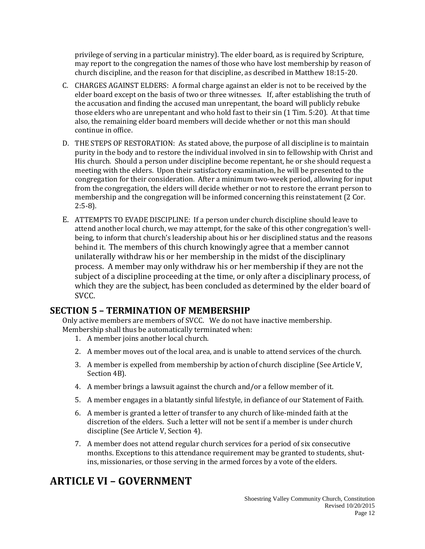privilege of serving in a particular ministry). The elder board, as is required by Scripture, may report to the congregation the names of those who have lost membership by reason of church discipline, and the reason for that discipline, as described in Matthew 18:15-20.

- C. CHARGES AGAINST ELDERS: A formal charge against an elder is not to be received by the elder board except on the basis of two or three witnesses. If, after establishing the truth of the accusation and finding the accused man unrepentant, the board will publicly rebuke those elders who are unrepentant and who hold fast to their sin (1 Tim. 5:20). At that time also, the remaining elder board members will decide whether or not this man should continue in office.
- D. THE STEPS OF RESTORATION: As stated above, the purpose of all discipline is to maintain purity in the body and to restore the individual involved in sin to fellowship with Christ and His church. Should a person under discipline become repentant, he or she should request a meeting with the elders. Upon their satisfactory examination, he will be presented to the congregation for their consideration. After a minimum two-week period, allowing for input from the congregation, the elders will decide whether or not to restore the errant person to membership and the congregation will be informed concerning this reinstatement (2 Cor. 2:5-8).
- E. ATTEMPTS TO EVADE DISCIPLINE: If a person under church discipline should leave to attend another local church, we may attempt, for the sake of this other congregation's wellbeing, to inform that church's leadership about his or her disciplined status and the reasons behind it. The members of this church knowingly agree that a member cannot unilaterally withdraw his or her membership in the midst of the disciplinary process. A member may only withdraw his or her membership if they are not the subject of a discipline proceeding at the time, or only after a disciplinary process, of which they are the subject, has been concluded as determined by the elder board of SVCC.

### **SECTION 5 – TERMINATION OF MEMBERSHIP**

Only active members are members of SVCC. We do not have inactive membership. Membership shall thus be automatically terminated when:

- 1. A member joins another local church.
- 2. A member moves out of the local area, and is unable to attend services of the church.
- 3. A member is expelled from membership by action of church discipline (See Article V, Section 4B).
- 4. A member brings a lawsuit against the church and/or a fellow member of it.
- 5. A member engages in a blatantly sinful lifestyle, in defiance of our Statement of Faith.
- 6. A member is granted a letter of transfer to any church of like-minded faith at the discretion of the elders. Such a letter will not be sent if a member is under church discipline (See Article V, Section 4).
- 7. A member does not attend regular church services for a period of six consecutive months. Exceptions to this attendance requirement may be granted to students, shutins, missionaries, or those serving in the armed forces by a vote of the elders.

## **ARTICLE VI – GOVERNMENT**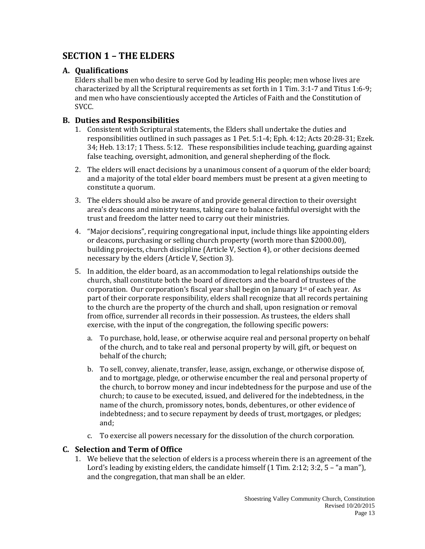## **SECTION 1 – THE ELDERS**

#### **A. Qualifications**

Elders shall be men who desire to serve God by leading His people; men whose lives are characterized by all the Scriptural requirements as set forth in 1 Tim. 3:1-7 and Titus 1:6-9; and men who have conscientiously accepted the Articles of Faith and the Constitution of SVCC.

#### **B. Duties and Responsibilities**

- 1. Consistent with Scriptural statements, the Elders shall undertake the duties and responsibilities outlined in such passages as 1 Pet. 5:1-4; Eph. 4:12; Acts 20:28-31; Ezek. 34; Heb. 13:17; 1 Thess. 5:12. These responsibilities include teaching, guarding against false teaching, oversight, admonition, and general shepherding of the flock.
- 2. The elders will enact decisions by a unanimous consent of a quorum of the elder board; and a majority of the total elder board members must be present at a given meeting to constitute a quorum.
- 3. The elders should also be aware of and provide general direction to their oversight area's deacons and ministry teams, taking care to balance faithful oversight with the trust and freedom the latter need to carry out their ministries.
- 4. "Major decisions", requiring congregational input, include things like appointing elders or deacons, purchasing or selling church property (worth more than \$2000.00), building projects, church discipline (Article V, Section 4), or other decisions deemed necessary by the elders (Article V, Section 3).
- 5. In addition, the elder board, as an accommodation to legal relationships outside the church, shall constitute both the board of directors and the board of trustees of the corporation. Our corporation's fiscal year shall begin on January  $1<sup>st</sup>$  of each year. As part of their corporate responsibility, elders shall recognize that all records pertaining to the church are the property of the church and shall, upon resignation or removal from office, surrender all records in their possession. As trustees, the elders shall exercise, with the input of the congregation, the following specific powers:
	- a. To purchase, hold, lease, or otherwise acquire real and personal property on behalf of the church, and to take real and personal property by will, gift, or bequest on behalf of the church;
	- b. To sell, convey, alienate, transfer, lease, assign, exchange, or otherwise dispose of, and to mortgage, pledge, or otherwise encumber the real and personal property of the church, to borrow money and incur indebtedness for the purpose and use of the church; to cause to be executed, issued, and delivered for the indebtedness, in the name of the church, promissory notes, bonds, debentures, or other evidence of indebtedness; and to secure repayment by deeds of trust, mortgages, or pledges; and;
	- c. To exercise all powers necessary for the dissolution of the church corporation.

#### **C. Selection and Term of Office**

1. We believe that the selection of elders is a process wherein there is an agreement of the Lord's leading by existing elders, the candidate himself (1 Tim. 2:12; 3:2, 5 – "a man"), and the congregation, that man shall be an elder.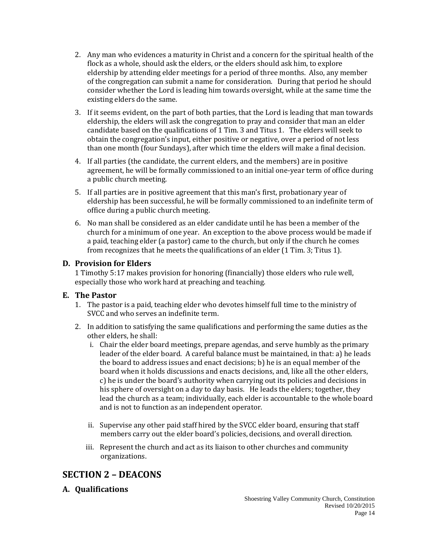- 2. Any man who evidences a maturity in Christ and a concern for the spiritual health of the flock as a whole, should ask the elders, or the elders should ask him, to explore eldership by attending elder meetings for a period of three months. Also, any member of the congregation can submit a name for consideration. During that period he should consider whether the Lord is leading him towards oversight, while at the same time the existing elders do the same.
- 3. If it seems evident, on the part of both parties, that the Lord is leading that man towards eldership, the elders will ask the congregation to pray and consider that man an elder candidate based on the qualifications of 1 Tim. 3 and Titus 1. The elders will seek to obtain the congregation's input, either positive or negative, over a period of not less than one month (four Sundays), after which time the elders will make a final decision.
- 4. If all parties (the candidate, the current elders, and the members) are in positive agreement, he will be formally commissioned to an initial one-year term of office during a public church meeting.
- 5. If all parties are in positive agreement that this man's first, probationary year of eldership has been successful, he will be formally commissioned to an indefinite term of office during a public church meeting.
- 6. No man shall be considered as an elder candidate until he has been a member of the church for a minimum of one year. An exception to the above process would be made if a paid, teaching elder (a pastor) came to the church, but only if the church he comes from recognizes that he meets the qualifications of an elder (1 Tim. 3; Titus 1).

#### **D. Provision for Elders**

1 Timothy 5:17 makes provision for honoring (financially) those elders who rule well, especially those who work hard at preaching and teaching.

#### **E. The Pastor**

- 1. The pastor is a paid, teaching elder who devotes himself full time to the ministry of SVCC and who serves an indefinite term.
- 2. In addition to satisfying the same qualifications and performing the same duties as the other elders, he shall:
	- i. Chair the elder board meetings, prepare agendas, and serve humbly as the primary leader of the elder board. A careful balance must be maintained, in that: a) he leads the board to address issues and enact decisions; b) he is an equal member of the board when it holds discussions and enacts decisions, and, like all the other elders, c) he is under the board's authority when carrying out its policies and decisions in his sphere of oversight on a day to day basis. He leads the elders; together, they lead the church as a team; individually, each elder is accountable to the whole board and is not to function as an independent operator.
	- ii. Supervise any other paid staff hired by the SVCC elder board, ensuring that staff members carry out the elder board's policies, decisions, and overall direction.
	- iii. Represent the church and act as its liaison to other churches and community organizations.

### **SECTION 2 – DEACONS**

#### **A. Qualifications**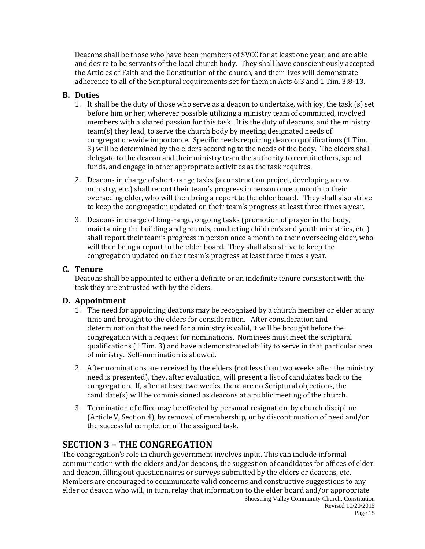Deacons shall be those who have been members of SVCC for at least one year, and are able and desire to be servants of the local church body. They shall have conscientiously accepted the Articles of Faith and the Constitution of the church, and their lives will demonstrate adherence to all of the Scriptural requirements set for them in Acts 6:3 and 1 Tim. 3:8-13.

#### **B. Duties**

- 1. It shall be the duty of those who serve as a deacon to undertake, with joy, the task (s) set before him or her, wherever possible utilizing a ministry team of committed, involved members with a shared passion for this task. It is the duty of deacons, and the ministry team(s) they lead, to serve the church body by meeting designated needs of congregation-wide importance. Specific needs requiring deacon qualifications (1 Tim. 3) will be determined by the elders according to the needs of the body. The elders shall delegate to the deacon and their ministry team the authority to recruit others, spend funds, and engage in other appropriate activities as the task requires.
- 2. Deacons in charge of short-range tasks (a construction project, developing a new ministry, etc.) shall report their team's progress in person once a month to their overseeing elder, who will then bring a report to the elder board. They shall also strive to keep the congregation updated on their team's progress at least three times a year.
- 3. Deacons in charge of long-range, ongoing tasks (promotion of prayer in the body, maintaining the building and grounds, conducting children's and youth ministries, etc.) shall report their team's progress in person once a month to their overseeing elder, who will then bring a report to the elder board. They shall also strive to keep the congregation updated on their team's progress at least three times a year.

#### **C. Tenure**

Deacons shall be appointed to either a definite or an indefinite tenure consistent with the task they are entrusted with by the elders.

#### **D. Appointment**

- 1. The need for appointing deacons may be recognized by a church member or elder at any time and brought to the elders for consideration. After consideration and determination that the need for a ministry is valid, it will be brought before the congregation with a request for nominations. Nominees must meet the scriptural qualifications (1 Tim. 3) and have a demonstrated ability to serve in that particular area of ministry. Self-nomination is allowed.
- 2. After nominations are received by the elders (not less than two weeks after the ministry need is presented), they, after evaluation, will present a list of candidates back to the congregation. If, after at least two weeks, there are no Scriptural objections, the candidate(s) will be commissioned as deacons at a public meeting of the church.
- 3. Termination of office may be effected by personal resignation, by church discipline (Article V, Section 4), by removal of membership, or by discontinuation of need and/or the successful completion of the assigned task.

### **SECTION 3 – THE CONGREGATION**

The congregation's role in church government involves input. This can include informal communication with the elders and/or deacons, the suggestion of candidates for offices of elder and deacon, filling out questionnaires or surveys submitted by the elders or deacons, etc. Members are encouraged to communicate valid concerns and constructive suggestions to any elder or deacon who will, in turn, relay that information to the elder board and/or appropriate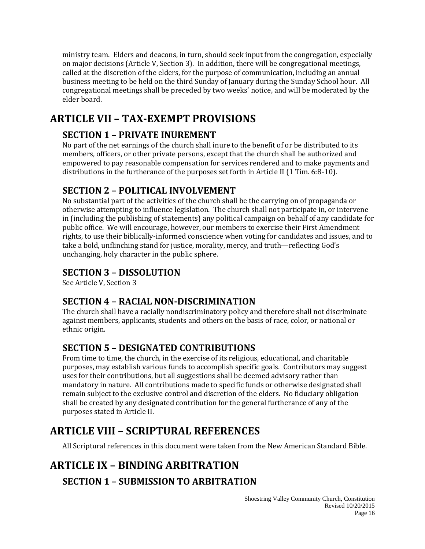ministry team. Elders and deacons, in turn, should seek input from the congregation, especially on major decisions (Article V, Section 3). In addition, there will be congregational meetings, called at the discretion of the elders, for the purpose of communication, including an annual business meeting to be held on the third Sunday of January during the Sunday School hour. All congregational meetings shall be preceded by two weeks' notice, and will be moderated by the elder board.

# **ARTICLE VII – TAX-EXEMPT PROVISIONS**

## **SECTION 1 – PRIVATE INUREMENT**

No part of the net earnings of the church shall inure to the benefit of or be distributed to its members, officers, or other private persons, except that the church shall be authorized and empowered to pay reasonable compensation for services rendered and to make payments and distributions in the furtherance of the purposes set forth in Article II (1 Tim. 6:8-10).

## **SECTION 2 – POLITICAL INVOLVEMENT**

No substantial part of the activities of the church shall be the carrying on of propaganda or otherwise attempting to influence legislation. The church shall not participate in, or intervene in (including the publishing of statements) any political campaign on behalf of any candidate for public office. We will encourage, however, our members to exercise their First Amendment rights, to use their biblically-informed conscience when voting for candidates and issues, and to take a bold, unflinching stand for justice, morality, mercy, and truth—reflecting God's unchanging, holy character in the public sphere.

## **SECTION 3 – DISSOLUTION**

See Article V, Section 3

### **SECTION 4 – RACIAL NON-DISCRIMINATION**

The church shall have a racially nondiscriminatory policy and therefore shall not discriminate against members, applicants, students and others on the basis of race, color, or national or ethnic origin.

## **SECTION 5 – DESIGNATED CONTRIBUTIONS**

From time to time, the church, in the exercise of its religious, educational, and charitable purposes, may establish various funds to accomplish specific goals. Contributors may suggest uses for their contributions, but all suggestions shall be deemed advisory rather than mandatory in nature. All contributions made to specific funds or otherwise designated shall remain subject to the exclusive control and discretion of the elders. No fiduciary obligation shall be created by any designated contribution for the general furtherance of any of the purposes stated in Article II.

# **ARTICLE VIII – SCRIPTURAL REFERENCES**

All Scriptural references in this document were taken from the New American Standard Bible.

# **ARTICLE IX – BINDING ARBITRATION**

## **SECTION 1 – SUBMISSION TO ARBITRATION**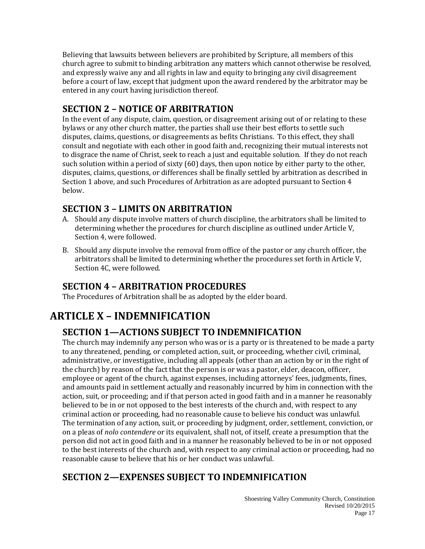Believing that lawsuits between believers are prohibited by Scripture, all members of this church agree to submit to binding arbitration any matters which cannot otherwise be resolved, and expressly waive any and all rights in law and equity to bringing any civil disagreement before a court of law, except that judgment upon the award rendered by the arbitrator may be entered in any court having jurisdiction thereof.

## **SECTION 2 – NOTICE OF ARBITRATION**

In the event of any dispute, claim, question, or disagreement arising out of or relating to these bylaws or any other church matter, the parties shall use their best efforts to settle such disputes, claims, questions, or disagreements as befits Christians. To this effect, they shall consult and negotiate with each other in good faith and, recognizing their mutual interests not to disgrace the name of Christ, seek to reach a just and equitable solution. If they do not reach such solution within a period of sixty (60) days, then upon notice by either party to the other, disputes, claims, questions, or differences shall be finally settled by arbitration as described in Section 1 above, and such Procedures of Arbitration as are adopted pursuant to Section 4 below.

## **SECTION 3 – LIMITS ON ARBITRATION**

- A. Should any dispute involve matters of church discipline, the arbitrators shall be limited to determining whether the procedures for church discipline as outlined under Article V, Section 4, were followed.
- B. Should any dispute involve the removal from office of the pastor or any church officer, the arbitrators shall be limited to determining whether the procedures set forth in Article V, Section 4C, were followed.

## **SECTION 4 – ARBITRATION PROCEDURES**

The Procedures of Arbitration shall be as adopted by the elder board.

# **ARTICLE X – INDEMNIFICATION**

## **SECTION 1—ACTIONS SUBJECT TO INDEMNIFICATION**

The church may indemnify any person who was or is a party or is threatened to be made a party to any threatened, pending, or completed action, suit, or proceeding, whether civil, criminal, administrative, or investigative, including all appeals (other than an action by or in the right of the church) by reason of the fact that the person is or was a pastor, elder, deacon, officer, employee or agent of the church, against expenses, including attorneys' fees, judgments, fines, and amounts paid in settlement actually and reasonably incurred by him in connection with the action, suit, or proceeding; and if that person acted in good faith and in a manner he reasonably believed to be in or not opposed to the best interests of the church and, with respect to any criminal action or proceeding, had no reasonable cause to believe his conduct was unlawful. The termination of any action, suit, or proceeding by judgment, order, settlement, conviction, or on a pleas of *nolo contendere* or its equivalent, shall not, of itself, create a presumption that the person did not act in good faith and in a manner he reasonably believed to be in or not opposed to the best interests of the church and, with respect to any criminal action or proceeding, had no reasonable cause to believe that his or her conduct was unlawful.

# **SECTION 2—EXPENSES SUBJECT TO INDEMNIFICATION**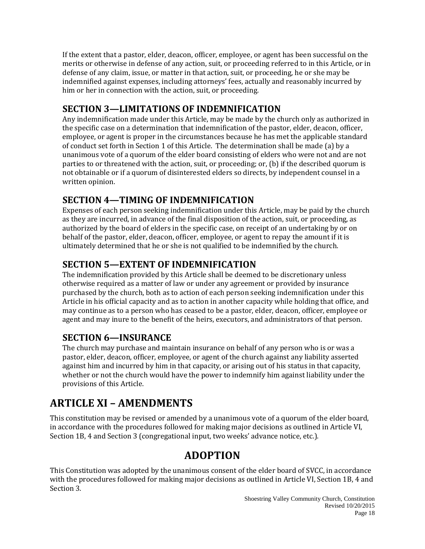If the extent that a pastor, elder, deacon, officer, employee, or agent has been successful on the merits or otherwise in defense of any action, suit, or proceeding referred to in this Article, or in defense of any claim, issue, or matter in that action, suit, or proceeding, he or she may be indemnified against expenses, including attorneys' fees, actually and reasonably incurred by him or her in connection with the action, suit, or proceeding.

## **SECTION 3—LIMITATIONS OF INDEMNIFICATION**

Any indemnification made under this Article, may be made by the church only as authorized in the specific case on a determination that indemnification of the pastor, elder, deacon, officer, employee, or agent is proper in the circumstances because he has met the applicable standard of conduct set forth in Section 1 of this Article. The determination shall be made (a) by a unanimous vote of a quorum of the elder board consisting of elders who were not and are not parties to or threatened with the action, suit, or proceeding; or, (b) if the described quorum is not obtainable or if a quorum of disinterested elders so directs, by independent counsel in a written opinion.

## **SECTION 4—TIMING OF INDEMNIFICATION**

Expenses of each person seeking indemnification under this Article, may be paid by the church as they are incurred, in advance of the final disposition of the action, suit, or proceeding, as authorized by the board of elders in the specific case, on receipt of an undertaking by or on behalf of the pastor, elder, deacon, officer, employee, or agent to repay the amount if it is ultimately determined that he or she is not qualified to be indemnified by the church.

## **SECTION 5—EXTENT OF INDEMNIFICATION**

The indemnification provided by this Article shall be deemed to be discretionary unless otherwise required as a matter of law or under any agreement or provided by insurance purchased by the church, both as to action of each person seeking indemnification under this Article in his official capacity and as to action in another capacity while holding that office, and may continue as to a person who has ceased to be a pastor, elder, deacon, officer, employee or agent and may inure to the benefit of the heirs, executors, and administrators of that person.

## **SECTION 6—INSURANCE**

The church may purchase and maintain insurance on behalf of any person who is or was a pastor, elder, deacon, officer, employee, or agent of the church against any liability asserted against him and incurred by him in that capacity, or arising out of his status in that capacity, whether or not the church would have the power to indemnify him against liability under the provisions of this Article.

# **ARTICLE XI – AMENDMENTS**

This constitution may be revised or amended by a unanimous vote of a quorum of the elder board, in accordance with the procedures followed for making major decisions as outlined in Article VI, Section 1B, 4 and Section 3 (congregational input, two weeks' advance notice, etc.).

## **ADOPTION**

This Constitution was adopted by the unanimous consent of the elder board of SVCC, in accordance with the procedures followed for making major decisions as outlined in Article VI, Section 1B, 4 and Section 3.